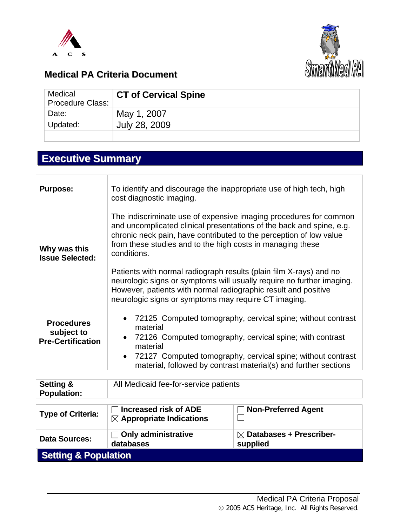



## **Medical PA Criteria Document**

| Medical<br><b>Procedure Class:</b> | <b>CT of Cervical Spine</b> |
|------------------------------------|-----------------------------|
| Date:                              | May 1, 2007                 |
| Updated:                           | July 28, 2009               |
|                                    |                             |

# **Executive Summary**

| <b>Purpose:</b>                                             | To identify and discourage the inappropriate use of high tech, high<br>cost diagnostic imaging.                                                                                                                                                                                                                                                                                                                                                                                                               |
|-------------------------------------------------------------|---------------------------------------------------------------------------------------------------------------------------------------------------------------------------------------------------------------------------------------------------------------------------------------------------------------------------------------------------------------------------------------------------------------------------------------------------------------------------------------------------------------|
| Why was this<br><b>Issue Selected:</b>                      | The indiscriminate use of expensive imaging procedures for common<br>and uncomplicated clinical presentations of the back and spine, e.g.<br>chronic neck pain, have contributed to the perception of low value<br>from these studies and to the high costs in managing these<br>conditions.<br>Patients with normal radiograph results (plain film X-rays) and no<br>neurologic signs or symptoms will usually require no further imaging.<br>However, patients with normal radiographic result and positive |
| <b>Procedures</b><br>subject to<br><b>Pre-Certification</b> | neurologic signs or symptoms may require CT imaging.<br>72125 Computed tomography, cervical spine; without contrast<br>$\bullet$<br>material<br>72126 Computed tomography, cervical spine; with contrast<br>$\bullet$<br>material<br>72127 Computed tomography, cervical spine; without contrast<br>$\bullet$<br>material, followed by contrast material(s) and further sections                                                                                                                              |

| Setting &<br><b>Population:</b> | All Medicaid fee-for-service patients   |                                                 |  |
|---------------------------------|-----------------------------------------|-------------------------------------------------|--|
|                                 | $\sqcap$ Increased risk of ADE          | $\Box$ Non-Preferred Agent                      |  |
| <b>Type of Criteria:</b>        | $\boxtimes$ Appropriate Indications     |                                                 |  |
|                                 |                                         |                                                 |  |
| <b>Data Sources:</b>            | $\Box$ Only administrative<br>databases | $\boxtimes$ Databases + Prescriber-<br>supplied |  |

**Setting & Population**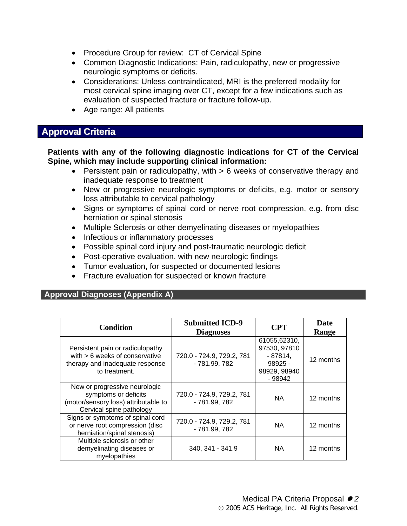- Procedure Group for review: CT of Cervical Spine
- Common Diagnostic Indications: Pain, radiculopathy, new or progressive neurologic symptoms or deficits.
- Considerations: Unless contraindicated, MRI is the preferred modality for most cervical spine imaging over CT, except for a few indications such as evaluation of suspected fracture or fracture follow-up.
- Age range: All patients

## **Approval Criteria**

**Patients with any of the following diagnostic indications for CT of the Cervical Spine, which may include supporting clinical information:** 

- Persistent pain or radiculopathy, with > 6 weeks of conservative therapy and inadequate response to treatment
- New or progressive neurologic symptoms or deficits, e.g. motor or sensory loss attributable to cervical pathology
- Signs or symptoms of spinal cord or nerve root compression, e.g. from disc herniation or spinal stenosis
- Multiple Sclerosis or other demyelinating diseases or myelopathies
- Infectious or inflammatory processes
- Possible spinal cord injury and post-traumatic neurologic deficit
- Post-operative evaluation, with new neurologic findings
- Tumor evaluation, for suspected or documented lesions
- Fracture evaluation for suspected or known fracture

#### **Approval Diagnoses (Appendix A)**

| <b>Condition</b>                                                                                                          | <b>Submitted ICD-9</b><br><b>Diagnoses</b> | <b>CPT</b>                                                                       | Date<br>Range |
|---------------------------------------------------------------------------------------------------------------------------|--------------------------------------------|----------------------------------------------------------------------------------|---------------|
| Persistent pain or radiculopathy<br>with $> 6$ weeks of conservative<br>therapy and inadequate response<br>to treatment.  | 720.0 - 724.9, 729.2, 781<br>- 781.99, 782 | 61055,62310,<br>97530, 97810<br>- 87814.<br>$98925 -$<br>98929, 98940<br>- 98942 | 12 months     |
| New or progressive neurologic<br>symptoms or deficits<br>(motor/sensory loss) attributable to<br>Cervical spine pathology | 720.0 - 724.9, 729.2, 781<br>- 781.99, 782 | NA.                                                                              | 12 months     |
| Signs or symptoms of spinal cord<br>or nerve root compression (disc<br>herniation/spinal stenosis)                        | 720.0 - 724.9, 729.2, 781<br>- 781.99, 782 | NA.                                                                              | 12 months     |
| Multiple sclerosis or other<br>demyelinating diseases or<br>myelopathies                                                  | 340, 341 - 341.9                           | NA.                                                                              | 12 months     |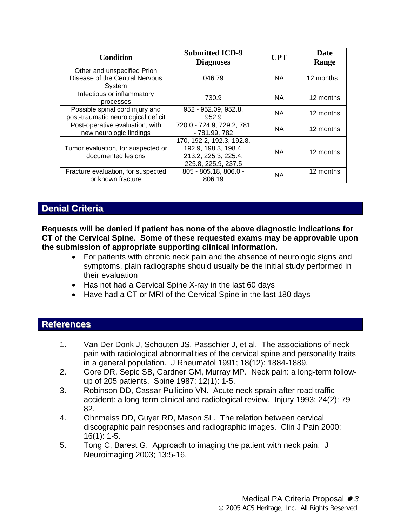| <b>Condition</b>                                                        | <b>Submitted ICD-9</b><br><b>Diagnoses</b>                                                       | <b>CPT</b> | <b>Date</b><br>Range |
|-------------------------------------------------------------------------|--------------------------------------------------------------------------------------------------|------------|----------------------|
| Other and unspecified Prion<br>Disease of the Central Nervous<br>System | 046.79                                                                                           | NA.        | 12 months            |
| Infectious or inflammatory<br>processes                                 | 730.9                                                                                            | NA.        | 12 months            |
| Possible spinal cord injury and<br>post-traumatic neurological deficit  | 952 - 952.09, 952.8,<br>952.9                                                                    | <b>NA</b>  | 12 months            |
| Post-operative evaluation, with<br>new neurologic findings              | 720.0 - 724.9, 729.2, 781<br>- 781.99, 782                                                       | NA.        | 12 months            |
| Tumor evaluation, for suspected or<br>documented lesions                | 170, 192.2, 192.3, 192.8,<br>192.9, 198.3, 198.4,<br>213.2, 225.3, 225.4,<br>225.8, 225.9, 237.5 | NA.        | 12 months            |
| Fracture evaluation, for suspected<br>or known fracture                 | 805 - 805.18, 806.0 -<br>806.19                                                                  | <b>NA</b>  | 12 months            |

## **Denial Criteria**

**Requests will be denied if patient has none of the above diagnostic indications for CT of the Cervical Spine. Some of these requested exams may be approvable upon the submission of appropriate supporting clinical information.** 

- For patients with chronic neck pain and the absence of neurologic signs and symptoms, plain radiographs should usually be the initial study performed in their evaluation
- Has not had a Cervical Spine X-ray in the last 60 days
- Have had a CT or MRI of the Cervical Spine in the last 180 days

#### **References**

- 1. Van Der Donk J, Schouten JS, Passchier J, et al. The associations of neck pain with radiological abnormalities of the cervical spine and personality traits in a general population. J Rheumatol 1991; 18(12): 1884-1889.
- 2. Gore DR, Sepic SB, Gardner GM, Murray MP. Neck pain: a long-term followup of 205 patients. Spine 1987; 12(1): 1-5.
- 3. Robinson DD, Cassar-Pullicino VN. Acute neck sprain after road traffic accident: a long-term clinical and radiological review. Injury 1993; 24(2): 79- 82.
- 4. Ohnmeiss DD, Guyer RD, Mason SL. The relation between cervical discographic pain responses and radiographic images. Clin J Pain 2000; 16(1): 1-5.
- 5. Tong C, Barest G. Approach to imaging the patient with neck pain. J Neuroimaging 2003; 13:5-16.